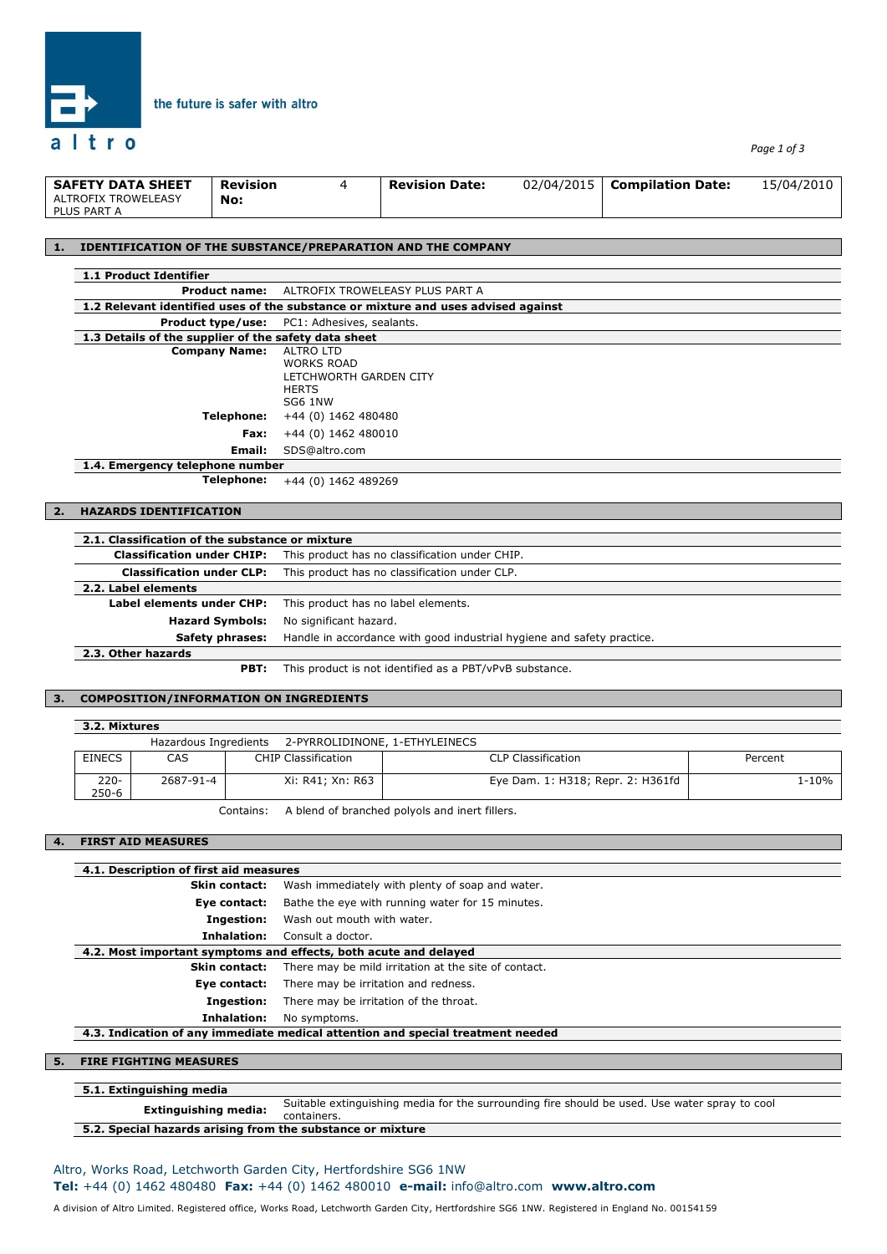

*Page 1 of 3*

| <b>SAFETY DATA SHEET</b>           | <b>Revision</b> | <b>Revision Date:</b> | 02/04/2015   Compilation Date: | 15/04/2010 |
|------------------------------------|-----------------|-----------------------|--------------------------------|------------|
| ALTROFIX TROWELEASY<br>PLUS PART A | No:             |                       |                                |            |

#### **1. IDENTIFICATION OF THE SUBSTANCE/PREPARATION AND THE COMPANY**

the future is safer with altro

| 1.1 Product Identifier                               |                                                                                   |
|------------------------------------------------------|-----------------------------------------------------------------------------------|
|                                                      | <b>Product name:</b> ALTROFIX TROWELEASY PLUS PART A                              |
|                                                      | 1.2 Relevant identified uses of the substance or mixture and uses advised against |
|                                                      | <b>Product type/use:</b> PC1: Adhesives, sealants.                                |
| 1.3 Details of the supplier of the safety data sheet |                                                                                   |
| <b>Company Name:</b>                                 | ALTRO LTD                                                                         |
|                                                      | <b>WORKS ROAD</b>                                                                 |
|                                                      | LETCHWORTH GARDEN CITY                                                            |
|                                                      | <b>HERTS</b>                                                                      |
|                                                      | <b>SG6 1NW</b>                                                                    |
| Telephone:                                           | +44 (0) 1462 480480                                                               |
| Fax:                                                 | +44 (0) 1462 480010                                                               |
| Email:                                               | SDS@altro.com                                                                     |
| 1.4. Emergency telephone number                      |                                                                                   |

**Telephone:** +44 (0) 1462 489269

### **2. HAZARDS IDENTIFICATION**

| 2.1. Classification of the substance or mixture |                                                                        |  |  |  |  |
|-------------------------------------------------|------------------------------------------------------------------------|--|--|--|--|
| <b>Classification under CHIP:</b>               | This product has no classification under CHIP.                         |  |  |  |  |
| <b>Classification under CLP:</b>                | This product has no classification under CLP.                          |  |  |  |  |
| 2.2. Label elements                             |                                                                        |  |  |  |  |
| Label elements under CHP:                       | This product has no label elements.                                    |  |  |  |  |
| <b>Hazard Symbols:</b>                          | No significant hazard.                                                 |  |  |  |  |
| Safety phrases:                                 | Handle in accordance with good industrial hygiene and safety practice. |  |  |  |  |
| 2.3. Other hazards                              |                                                                        |  |  |  |  |

**PBT:** This product is not identified as a PBT/vPvB substance.

#### **3. COMPOSITION/INFORMATION ON INGREDIENTS**

#### **3.2. Mixtures**

|                  |           | Hazardous Ingredients 2-PYRROLIDINONE, 1-ETHYLEINECS |                                   |         |
|------------------|-----------|------------------------------------------------------|-----------------------------------|---------|
| <b>EINECS</b>    | CAS       | <b>CHIP Classification</b>                           | <b>CLP Classification</b>         | Percent |
| $220 -$<br>250-6 | 2687-91-4 | Xi: R41: Xn: R63                                     | Eye Dam. 1: H318; Repr. 2: H361fd | 1-10%   |

Contains: A blend of branched polyols and inert fillers.

#### **4. FIRST AID MEASURES**

| 4.1. Description of first aid measures               |                                                                                 |  |  |
|------------------------------------------------------|---------------------------------------------------------------------------------|--|--|
| <b>Skin contact:</b>                                 | Wash immediately with plenty of soap and water.                                 |  |  |
| Eye contact:                                         | Bathe the eye with running water for 15 minutes.                                |  |  |
| Ingestion:                                           | Wash out mouth with water.                                                      |  |  |
| Inhalation:                                          | Consult a doctor.                                                               |  |  |
|                                                      | 4.2. Most important symptoms and effects, both acute and delayed                |  |  |
| Skin contact:                                        | There may be mild irritation at the site of contact.                            |  |  |
| Eye contact:                                         | There may be irritation and redness.                                            |  |  |
| Ingestion:<br>There may be irritation of the throat. |                                                                                 |  |  |
| Inhalation:                                          | No symptoms.                                                                    |  |  |
|                                                      | 4.3. Indication of any immediate medical attention and special treatment needed |  |  |
|                                                      |                                                                                 |  |  |
| 5.<br><b>FIRE FIGHTING MEASURES</b>                  |                                                                                 |  |  |
|                                                      |                                                                                 |  |  |
| E. A. Evaluaciation a constitu                       |                                                                                 |  |  |

#### **5.1. Extinguishing media**

**Extinguishing media:** Suitable extinguishing media for the surrounding fire should be used. Use water spray to cool containers.

## **5.2. Special hazards arising from the substance or mixture**

# Altro, Works Road, Letchworth Garden City, Hertfordshire SG6 1NW **Tel:** +44 (0) 1462 480480 **Fax:** +44 (0) 1462 480010 **e-mail:** info@altro.com **www.altro.com**

A division of Altro Limited. Registered office, Works Road, Letchworth Garden City, Hertfordshire SG6 1NW. Registered in England No. 00154159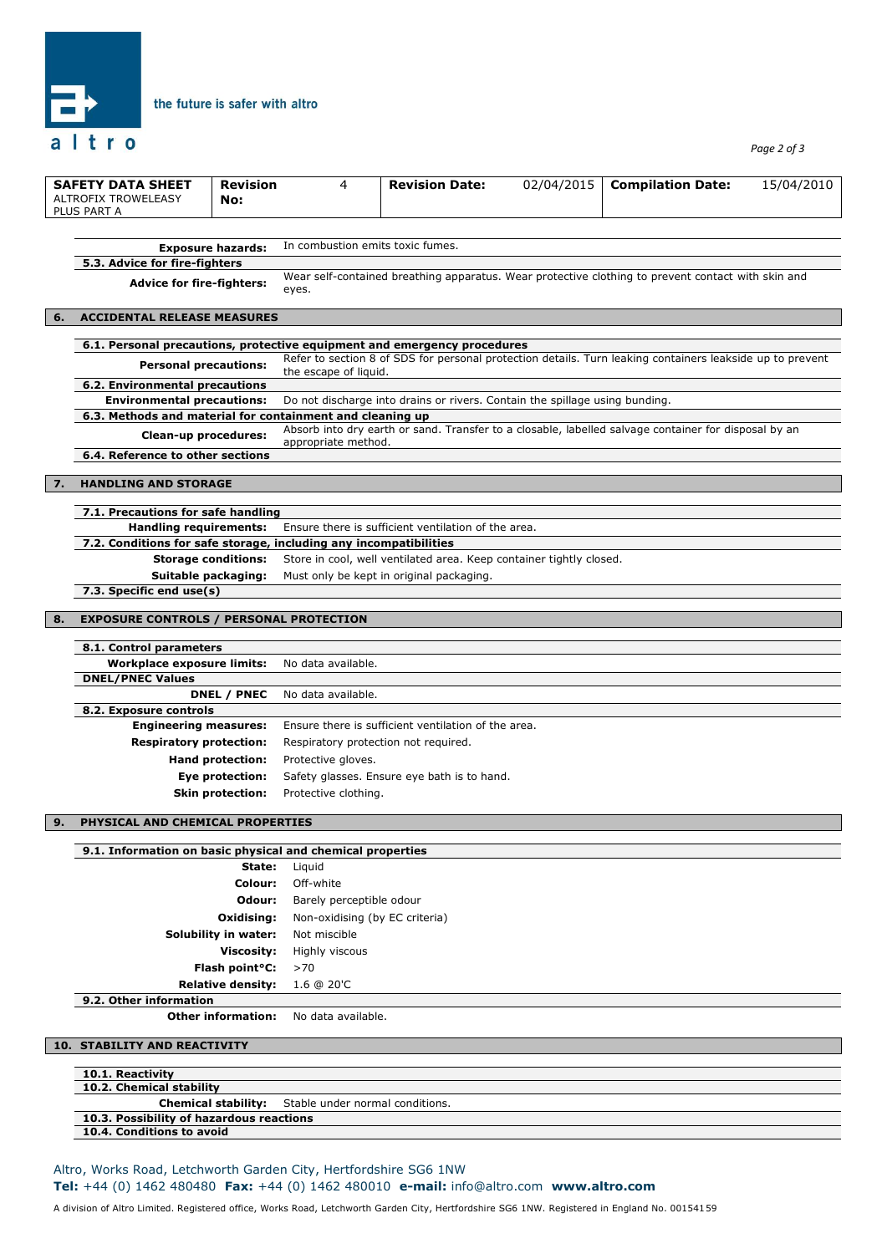

# the future is safer with altro

*Page 2 of 3*

|    | <b>SAFETY DATA SHEET</b><br><b>ALTROFIX TROWELEASY</b><br>PLUS PART A                                    | <b>Revision</b><br>No:      | 4                                           | <b>Revision Date:</b>                                                       | 02/04/2015 | <b>Compilation Date:</b>                                                                                  | 15/04/2010 |  |
|----|----------------------------------------------------------------------------------------------------------|-----------------------------|---------------------------------------------|-----------------------------------------------------------------------------|------------|-----------------------------------------------------------------------------------------------------------|------------|--|
|    |                                                                                                          |                             |                                             |                                                                             |            |                                                                                                           |            |  |
|    | <b>Exposure hazards:</b>                                                                                 |                             | In combustion emits toxic fumes.            |                                                                             |            |                                                                                                           |            |  |
|    | 5.3. Advice for fire-fighters                                                                            |                             |                                             |                                                                             |            |                                                                                                           |            |  |
|    | <b>Advice for fire-fighters:</b>                                                                         |                             | eyes.                                       |                                                                             |            | Wear self-contained breathing apparatus. Wear protective clothing to prevent contact with skin and        |            |  |
| 6. | <b>ACCIDENTAL RELEASE MEASURES</b>                                                                       |                             |                                             |                                                                             |            |                                                                                                           |            |  |
|    |                                                                                                          |                             |                                             |                                                                             |            |                                                                                                           |            |  |
|    | 6.1. Personal precautions, protective equipment and emergency procedures<br><b>Personal precautions:</b> |                             | the escape of liquid.                       |                                                                             |            | Refer to section 8 of SDS for personal protection details. Turn leaking containers leakside up to prevent |            |  |
|    | 6.2. Environmental precautions                                                                           |                             |                                             |                                                                             |            |                                                                                                           |            |  |
|    | <b>Environmental precautions:</b>                                                                        |                             |                                             | Do not discharge into drains or rivers. Contain the spillage using bunding. |            |                                                                                                           |            |  |
|    | 6.3. Methods and material for containment and cleaning up                                                |                             |                                             |                                                                             |            |                                                                                                           |            |  |
|    | Clean-up procedures:                                                                                     |                             | appropriate method.                         |                                                                             |            | Absorb into dry earth or sand. Transfer to a closable, labelled salvage container for disposal by an      |            |  |
|    | 6.4. Reference to other sections                                                                         |                             |                                             |                                                                             |            |                                                                                                           |            |  |
|    |                                                                                                          |                             |                                             |                                                                             |            |                                                                                                           |            |  |
| 7. | <b>HANDLING AND STORAGE</b>                                                                              |                             |                                             |                                                                             |            |                                                                                                           |            |  |
|    | 7.1. Precautions for safe handling                                                                       |                             |                                             |                                                                             |            |                                                                                                           |            |  |
|    | <b>Handling requirements:</b>                                                                            |                             |                                             | Ensure there is sufficient ventilation of the area.                         |            |                                                                                                           |            |  |
|    | 7.2. Conditions for safe storage, including any incompatibilities                                        |                             |                                             |                                                                             |            |                                                                                                           |            |  |
|    |                                                                                                          | <b>Storage conditions:</b>  |                                             | Store in cool, well ventilated area. Keep container tightly closed.         |            |                                                                                                           |            |  |
|    | Suitable packaging:                                                                                      |                             |                                             | Must only be kept in original packaging.                                    |            |                                                                                                           |            |  |
|    | 7.3. Specific end use(s)                                                                                 |                             |                                             |                                                                             |            |                                                                                                           |            |  |
|    |                                                                                                          |                             |                                             |                                                                             |            |                                                                                                           |            |  |
| 8. | <b>EXPOSURE CONTROLS / PERSONAL PROTECTION</b>                                                           |                             |                                             |                                                                             |            |                                                                                                           |            |  |
|    | 8.1. Control parameters                                                                                  |                             |                                             |                                                                             |            |                                                                                                           |            |  |
|    | <b>Workplace exposure limits:</b>                                                                        |                             | No data available.                          |                                                                             |            |                                                                                                           |            |  |
|    | <b>DNEL/PNEC Values</b>                                                                                  |                             |                                             |                                                                             |            |                                                                                                           |            |  |
|    |                                                                                                          | DNEL / PNEC                 | No data available.                          |                                                                             |            |                                                                                                           |            |  |
|    | 8.2. Exposure controls                                                                                   |                             |                                             |                                                                             |            |                                                                                                           |            |  |
|    | <b>Engineering measures:</b>                                                                             |                             |                                             | Ensure there is sufficient ventilation of the area.                         |            |                                                                                                           |            |  |
|    | <b>Respiratory protection:</b>                                                                           |                             | Respiratory protection not required.        |                                                                             |            |                                                                                                           |            |  |
|    |                                                                                                          | Hand protection:            | Protective gloves.                          |                                                                             |            |                                                                                                           |            |  |
|    |                                                                                                          | Eye protection:             | Safety glasses. Ensure eye bath is to hand. |                                                                             |            |                                                                                                           |            |  |
|    |                                                                                                          | <b>Skin protection:</b>     | Protective clothing.                        |                                                                             |            |                                                                                                           |            |  |
|    |                                                                                                          |                             |                                             |                                                                             |            |                                                                                                           |            |  |
|    | PHYSICAL AND CHEMICAL PROPERTIES                                                                         |                             |                                             |                                                                             |            |                                                                                                           |            |  |
|    | 9.1. Information on basic physical and chemical properties                                               |                             |                                             |                                                                             |            |                                                                                                           |            |  |
|    |                                                                                                          | State:                      | Liquid                                      |                                                                             |            |                                                                                                           |            |  |
|    |                                                                                                          | Colour:                     | Off-white                                   |                                                                             |            |                                                                                                           |            |  |
|    |                                                                                                          | Odour:                      | Barely perceptible odour                    |                                                                             |            |                                                                                                           |            |  |
|    |                                                                                                          | Oxidising:                  | Non-oxidising (by EC criteria)              |                                                                             |            |                                                                                                           |            |  |
|    |                                                                                                          | Solubility in water:        | Not miscible                                |                                                                             |            |                                                                                                           |            |  |
|    |                                                                                                          | Viscosity:                  | Highly viscous                              |                                                                             |            |                                                                                                           |            |  |
|    |                                                                                                          | Flash point <sup>o</sup> C: | >70                                         |                                                                             |            |                                                                                                           |            |  |
|    |                                                                                                          | <b>Relative density:</b>    | 1.6 @ 20'C                                  |                                                                             |            |                                                                                                           |            |  |
|    | 9.2. Other information                                                                                   |                             |                                             |                                                                             |            |                                                                                                           |            |  |
|    |                                                                                                          | <b>Other information:</b>   | No data available.                          |                                                                             |            |                                                                                                           |            |  |
|    | <b>10. STABILITY AND REACTIVITY</b>                                                                      |                             |                                             |                                                                             |            |                                                                                                           |            |  |
|    |                                                                                                          |                             |                                             |                                                                             |            |                                                                                                           |            |  |
|    | 10.1. Reactivity<br>10.2. Chemical stability                                                             |                             |                                             |                                                                             |            |                                                                                                           |            |  |
|    |                                                                                                          | <b>Chemical stability:</b>  | Stable under normal conditions.             |                                                                             |            |                                                                                                           |            |  |
|    | 10.3. Possibility of hazardous reactions                                                                 |                             |                                             |                                                                             |            |                                                                                                           |            |  |

**10.4. Conditions to avoid**

Altro, Works Road, Letchworth Garden City, Hertfordshire SG6 1NW

**Tel:** +44 (0) 1462 480480 **Fax:** +44 (0) 1462 480010 **e-mail:** info@altro.com **www.altro.com**